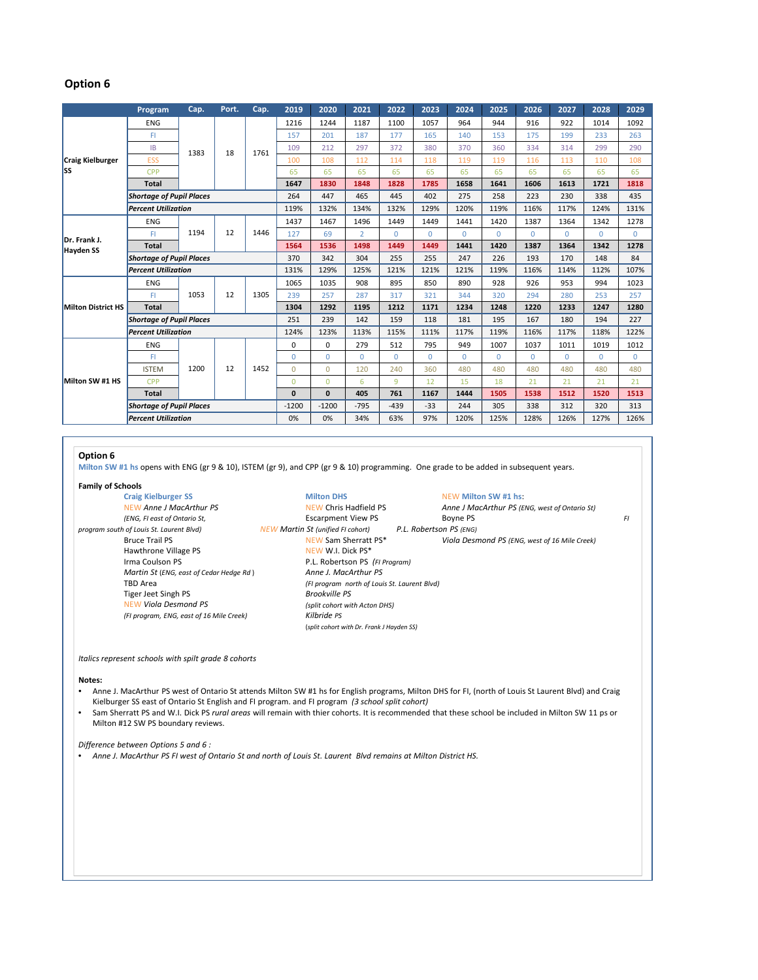# **Option 6**

|                                  | Program                         | Cap.       | Port. | Cap. | 2019         | 2020         | 2021           | 2022     | 2023     | 2024     | 2025     | 2026     | 2027     | 2028     | 2029        |
|----------------------------------|---------------------------------|------------|-------|------|--------------|--------------|----------------|----------|----------|----------|----------|----------|----------|----------|-------------|
| <b>Craig Kielburger</b><br>lss   | <b>ENG</b>                      | 1383       | 18    | 1761 | 1216         | 1244         | 1187           | 1100     | 1057     | 964      | 944      | 916      | 922      | 1014     | 1092        |
|                                  | FI.                             |            |       |      | 157          | 201          | 187            | 177      | 165      | 140      | 153      | 175      | 199      | 233      | 263         |
|                                  | IB                              |            |       |      | 109          | 212          | 297            | 372      | 380      | 370      | 360      | 334      | 314      | 299      | 290         |
|                                  | <b>ESS</b>                      |            |       |      | 100          | 108          | 112            | 114      | 118      | 119      | 119      | 116      | 113      | 110      | 108         |
|                                  | CPP                             |            |       |      | 65           | 65           | 65             | 65       | 65       | 65       | 65       | 65       | 65       | 65       | 65          |
|                                  | <b>Total</b>                    |            |       |      | 1647         | 1830         | 1848           | 1828     | 1785     | 1658     | 1641     | 1606     | 1613     | 1721     | 1818        |
|                                  | <b>Shortage of Pupil Places</b> |            |       |      | 264          | 447          | 465            | 445      | 402      | 275      | 258      | 223      | 230      | 338      | 435         |
|                                  | <b>Percent Utilization</b>      |            |       |      | 119%         | 132%         | 134%           | 132%     | 129%     | 120%     | 119%     | 116%     | 117%     | 124%     | 131%        |
| Dr. Frank J.<br><b>Hayden SS</b> | <b>ENG</b>                      | 1194       | 12    | 1446 | 1437         | 1467         | 1496           | 1449     | 1449     | 1441     | 1420     | 1387     | 1364     | 1342     | 1278        |
|                                  | FI                              |            |       |      | 127          | 69           | $\overline{2}$ | $\Omega$ | $\Omega$ | $\Omega$ | $\Omega$ | $\Omega$ | $\Omega$ | $\Omega$ | $\Omega$    |
|                                  | <b>Total</b>                    |            |       |      | 1564         | 1536         | 1498           | 1449     | 1449     | 1441     | 1420     | 1387     | 1364     | 1342     | 1278        |
|                                  | <b>Shortage of Pupil Places</b> |            |       |      | 370          | 342          | 304            | 255      | 255      | 247      | 226      | 193      | 170      | 148      | 84          |
|                                  | <b>Percent Utilization</b>      |            |       |      | 131%         | 129%         | 125%           | 121%     | 121%     | 121%     | 119%     | 116%     | 114%     | 112%     | 107%        |
| <b>Milton District HS</b>        | <b>ENG</b>                      | 1053       | 12    | 1305 | 1065         | 1035         | 908            | 895      | 850      | 890      | 928      | 926      | 953      | 994      | 1023        |
|                                  | FI.                             |            |       |      | 239          | 257          | 287            | 317      | 321      | 344      | 320      | 294      | 280      | 253      | 257         |
|                                  | <b>Total</b>                    |            |       |      | 1304         | 1292         | 1195           | 1212     | 1171     | 1234     | 1248     | 1220     | 1233     | 1247     | 1280        |
|                                  | <b>Shortage of Pupil Places</b> |            |       |      | 251          | 239          | 142            | 159      | 118      | 181      | 195      | 167      | 180      | 194      | 227         |
|                                  | <b>Percent Utilization</b>      |            |       |      | 124%         | 123%         | 113%           | 115%     | 111%     | 117%     | 119%     | 116%     | 117%     | 118%     | 122%        |
| Milton SW #1 HS                  | <b>ENG</b>                      | 1200<br>12 |       | 1452 | 0            | $\Omega$     | 279            | 512      | 795      | 949      | 1007     | 1037     | 1011     | 1019     | 1012        |
|                                  | FI                              |            |       |      | $\Omega$     | $\Omega$     | $\Omega$       | $\Omega$ | $\Omega$ | $\Omega$ | $\Omega$ | $\Omega$ | $\Omega$ | $\Omega$ | $\mathbf 0$ |
|                                  | <b>ISTEM</b>                    |            |       |      | $\Omega$     | $\Omega$     | 120            | 240      | 360      | 480      | 480      | 480      | 480      | 480      | 480         |
|                                  | CPP                             |            |       |      | $\Omega$     | $\Omega$     | 6              | 9        | 12       | 15       | 18       | 21       | 21       | 21       | 21          |
|                                  | <b>Total</b>                    |            |       |      | $\mathbf{0}$ | $\mathbf{0}$ | 405            | 761      | 1167     | 1444     | 1505     | 1538     | 1512     | 1520     | 1513        |
|                                  | <b>Shortage of Pupil Places</b> |            |       |      | $-1200$      | $-1200$      | $-795$         | $-439$   | $-33$    | 244      | 305      | 338      | 312      | 320      | 313         |
|                                  | <b>Percent Utilization</b>      |            |       |      | 0%           | 0%           | 34%            | 63%      | 97%      | 120%     | 125%     | 128%     | 126%     | 127%     | 126%        |

## **Option 6**

**Milton SW #1 hs** opens with ENG (gr 9 & 10), ISTEM (gr 9), and CPP (gr 9 & 10) programming. One grade to be added in subsequent years.

# **Family of Schools**

*(FI program, ENG, east of 16 Mile Creek) Kilbride PS*

**CRAIGERT MILTON ISSUES MEW Milton SW #1 hs:**<br> **CRAIGERT MILTON ISSUES MILTON**<br> **CAIGATER Anne J MacArthur PS (EI** NEW Anne J MacArthur PS **NEW Chris Hadfield PS** *Anne J MacArthur PS (ENG, west of Ontario St) (ENG, FI east of Ontario St,* Escarpment View PS Boyne PS *Boyne PS*<br>*IFW Martin St (unified FI cohort)* P.L. Robertson PS (ENG)  $Viola$  *Desmond PS (ENG, west of 16 Mile Creek)* 

# *programma St. Laurent Blvd) NEW Martin St (unified FI cohort)* **P.L.** *Robertson, P.L. <i>Robertson, P.C. P. <i>Robertson P.C. Robertson P.C. Robertson P.C. Robertson Robertson Robertson Robertson* Hawthrone Village PS NEW W.I. Dick PS\* Irma Coulson PS<br> *Martin St* (ENG, east of Cedar Hedge Rd) Anne J. MacArthur PS *Martin St* (*ENG, east of Cedar Hedge Rd*) TBD Area *(FI program north of Louis St. Laurent Blvd)* Tiger Jeet Singh PS *Brookville PS*

NEW *Viola Desmond PS (split cohort with Acton DHS)* (*split cohort with Dr. Frank J Hayden SS)*

*Italics represent schools with spilt grade 8 cohorts*

### **Notes:**

- Anne J. MacArthur PS west of Ontario St attends Milton SW #1 hs for English programs, Milton DHS for FI, (north of Louis St Laurent Blvd) and Craig Kielburger SS east of Ontario St English and FI program. and FI program *(3 school split cohort)*
- Sam Sherratt PS and W.I. Dick PS *rural areas* will remain with thier cohorts. It is recommended that these school be included in Milton SW 11 ps or Milton #12 SW PS boundary reviews.

*Difference between Options 5 and 6 :*

-<br>Anne J. MacArthur PS FI west of Ontario St and north of Louis St. Laurent Blvd remains at Milton District HS.